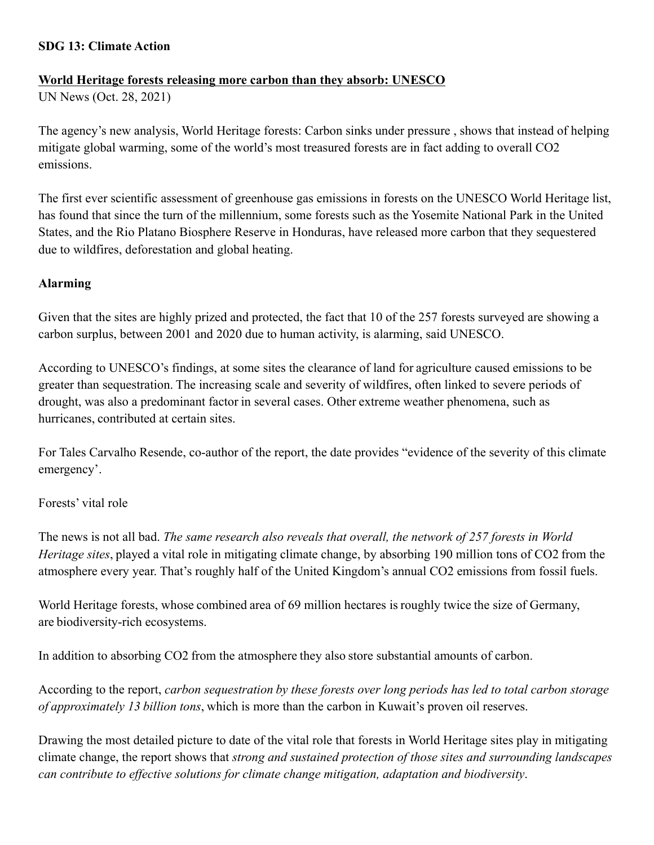### **SDG 13: Climate Action**

### **World Heritage forests releasing more carbon than they absorb: UNESCO**

UN News (Oct. 28, 2021)

The agency's new analysis, World Heritage forests: Carbon sinks under pressure , shows that instead of helping mitigate global warming, some of the world's most treasured forests are in fact adding to overall CO2 emissions.

The first ever scientific assessment of greenhouse gas emissions in forests on the UNESCO World Heritage list, has found that since the turn of the millennium, some forests such as the Yosemite National Park in the United States, and the Rio Platano Biosphere Reserve in Honduras, have released more carbon that they sequestered due to wildfires, deforestation and global heating.

## **Alarming**

Given that the sites are highly prized and protected, the fact that 10 of the 257 forests surveyed are showing a carbon surplus, between 2001 and 2020 due to human activity, is alarming, said UNESCO.

According to UNESCO's findings, at some sites the clearance of land for agriculture caused emissions to be greater than sequestration. The increasing scale and severity of wildfires, often linked to severe periods of drought, was also a predominant factor in several cases. Other extreme weather phenomena, such as hurricanes, contributed at certain sites.

For Tales Carvalho Resende, co-author of the report, the date provides "evidence of the severity of this climate emergency'.

# Forests' vital role

The news is not all bad. *The same research also reveals that overall, the network of 257 forests in World Heritage sites*, played a vital role in mitigating climate change, by absorbing 190 million tons of CO2 from the atmosphere every year. That's roughly half of the United Kingdom's annual CO2 emissions from fossil fuels.

World Heritage forests, whose combined area of 69 million hectares is roughly twice the size of Germany, are biodiversity-rich ecosystems.

In addition to absorbing CO2 from the atmosphere they also store substantial amounts of carbon.

According to the report, *carbon sequestration by these forests over long periods has led to total carbon storage of approximately 13 billion tons*, which is more than the carbon in Kuwait's proven oil reserves.

Drawing the most detailed picture to date of the vital role that forests in World Heritage sites play in mitigating climate change, the report shows that *strong and sustained protection of those sites and surrounding landscapes can contribute to effective solutions for climate change mitigation, adaptation and biodiversity*.